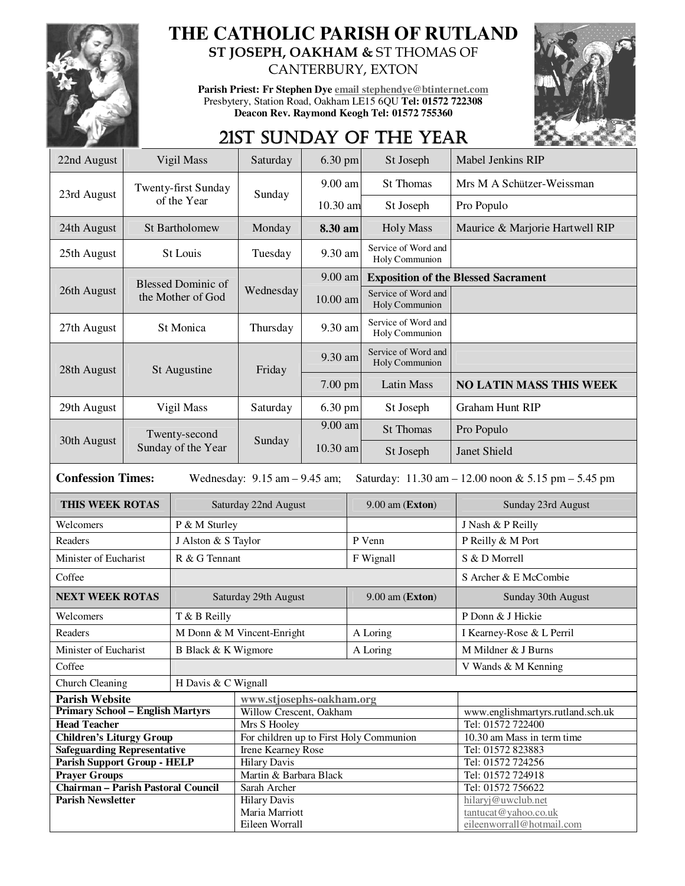

## **THE CATHOLIC PARISH OF RUTLAND ST JOSEPH, OAKHAM &** ST THOMAS OF

**Parish Priest: Fr Stephen Dye email stephendye@btinternet.com** Presbytery, Station Road, Oakham LE15 6QU **Tel: 01572 722308 Deacon Rev. Raymond Keogh Tel: 01572 755360** 

CANTERBURY, EXTON



# 21ST SUNDAY OF THE YEAR

| 22nd August                                                                                                                                             | Vigil Mass                          |                      | Saturday<br>6.30 pm                     |           |           | St Joseph                                  | Mabel Jenkins RIP                          |
|---------------------------------------------------------------------------------------------------------------------------------------------------------|-------------------------------------|----------------------|-----------------------------------------|-----------|-----------|--------------------------------------------|--------------------------------------------|
| 23rd August                                                                                                                                             |                                     | Twenty-first Sunday  | Sunday                                  | 9.00 am   |           | <b>St Thomas</b>                           | Mrs M A Schützer-Weissman                  |
|                                                                                                                                                         | of the Year                         |                      |                                         | 10.30 am  |           | St Joseph                                  | Pro Populo                                 |
| 24th August                                                                                                                                             |                                     | St Bartholomew       | Monday<br>8.30 am                       |           |           | <b>Holy Mass</b>                           | Maurice & Marjorie Hartwell RIP            |
| 25th August                                                                                                                                             | St Louis                            |                      | Tuesday                                 | 9.30 am   |           | Service of Word and<br>Holy Communion      |                                            |
|                                                                                                                                                         | <b>Blessed Dominic of</b>           |                      | Wednesday                               | 9.00 am   |           | <b>Exposition of the Blessed Sacrament</b> |                                            |
| 26th August                                                                                                                                             |                                     | the Mother of God    |                                         | 10.00 am  |           | Service of Word and<br>Holy Communion      |                                            |
| 27th August                                                                                                                                             | St Monica                           |                      | Thursday                                | 9.30 am   |           | Service of Word and<br>Holy Communion      |                                            |
| 28th August                                                                                                                                             |                                     | St Augustine         | Friday                                  | 9.30 am   |           | Service of Word and<br>Holy Communion      |                                            |
|                                                                                                                                                         |                                     |                      |                                         | $7.00$ pm |           | Latin Mass                                 | <b>NO LATIN MASS THIS WEEK</b>             |
| 29th August                                                                                                                                             |                                     | Vigil Mass           | Saturday                                | 6.30 pm   |           | St Joseph                                  | <b>Graham Hunt RIP</b>                     |
|                                                                                                                                                         | Twenty-second<br>Sunday of the Year |                      | Sunday                                  | 9.00 am   |           | <b>St Thomas</b>                           | Pro Populo                                 |
| 30th August                                                                                                                                             |                                     |                      |                                         | 10.30 am  |           | St Joseph                                  | Janet Shield                               |
| <b>Confession Times:</b><br>Wednesday: $9.15$ am $- 9.45$ am;<br>Saturday: $11.30 \text{ am} - 12.00 \text{ noon} \& 5.15 \text{ pm} - 5.45 \text{ pm}$ |                                     |                      |                                         |           |           |                                            |                                            |
| THIS WEEK ROTAS                                                                                                                                         |                                     |                      | Saturday 22nd August                    |           |           | $9.00$ am (Exton)                          | Sunday 23rd August                         |
| Welcomers                                                                                                                                               |                                     | P & M Sturley        |                                         |           |           |                                            | J Nash & P Reilly                          |
| Readers                                                                                                                                                 |                                     | J Alston & S Taylor  |                                         |           | P Venn    |                                            | P Reilly & M Port                          |
| Minister of Eucharist                                                                                                                                   |                                     | R & G Tennant        |                                         |           | F Wignall |                                            | S & D Morrell                              |
| Coffee                                                                                                                                                  |                                     |                      |                                         |           |           |                                            | S Archer & E McCombie                      |
| <b>NEXT WEEK ROTAS</b>                                                                                                                                  |                                     | Saturday 29th August |                                         |           |           | $9.00$ am (Exton)                          | Sunday 30th August                         |
| Welcomers                                                                                                                                               |                                     | T & B Reilly         |                                         |           |           |                                            | P Donn & J Hickie                          |
| Readers                                                                                                                                                 |                                     |                      | M Donn & M Vincent-Enright              |           |           | A Loring                                   | I Kearney-Rose & L Perril                  |
| Minister of Eucharist                                                                                                                                   |                                     | B Black & K Wigmore  |                                         |           | A Loring  |                                            | M Mildner & J Burns                        |
| Coffee                                                                                                                                                  |                                     |                      |                                         |           |           | V Wands & M Kenning                        |                                            |
| Church Cleaning<br>H Davis & C Wignall                                                                                                                  |                                     |                      |                                         |           |           |                                            |                                            |
| <b>Parish Website</b>                                                                                                                                   |                                     |                      | www.stjosephs-oakham.org                |           |           |                                            |                                            |
| <b>Primary School - English Martyrs</b>                                                                                                                 |                                     |                      | Willow Crescent, Oakham                 |           |           |                                            | www.englishmartyrs.rutland.sch.uk          |
| <b>Head Teacher</b>                                                                                                                                     |                                     |                      | Mrs S Hooley                            |           |           |                                            | Tel: 01572 722400                          |
| <b>Children's Liturgy Group</b>                                                                                                                         |                                     |                      | For children up to First Holy Communion |           |           |                                            | 10.30 am Mass in term time                 |
| <b>Safeguarding Representative</b>                                                                                                                      |                                     |                      | <b>Irene Kearney Rose</b>               |           |           |                                            | Tel: 01572 823883                          |
| <b>Parish Support Group - HELP</b>                                                                                                                      |                                     |                      | <b>Hilary Davis</b>                     |           |           |                                            | Tel: 01572 724256                          |
| <b>Prayer Groups</b>                                                                                                                                    |                                     |                      | Martin & Barbara Black                  |           |           |                                            | Tel: 01572 724918                          |
| Chairman - Parish Pastoral Council                                                                                                                      |                                     |                      | Sarah Archer                            |           |           |                                            | Tel: 01572 756622                          |
| <b>Parish Newsletter</b>                                                                                                                                |                                     |                      | <b>Hilary Davis</b><br>Maria Marriott   |           |           |                                            | hilaryj@uwclub.net<br>tantucat@yahoo.co.uk |
|                                                                                                                                                         |                                     |                      | Eileen Worrall                          |           |           |                                            |                                            |